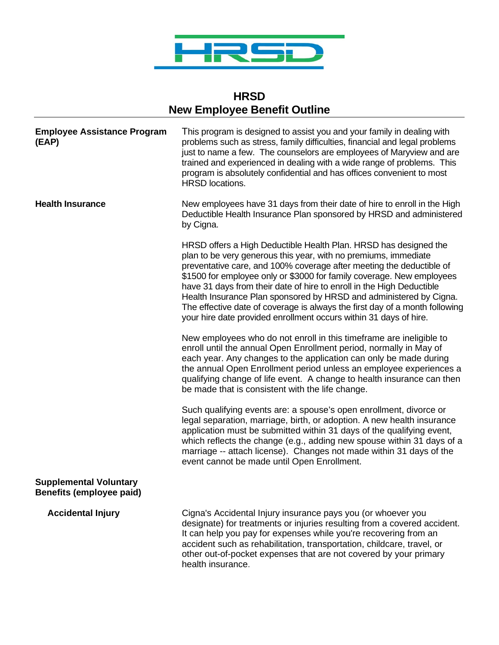

## **HRSD New Employee Benefit Outline**

| <b>Employee Assistance Program</b><br>(EAP)                      | This program is designed to assist you and your family in dealing with<br>problems such as stress, family difficulties, financial and legal problems<br>just to name a few. The counselors are employees of Maryview and are<br>trained and experienced in dealing with a wide range of problems. This<br>program is absolutely confidential and has offices convenient to most<br><b>HRSD</b> locations.                                                                                                                                                                               |
|------------------------------------------------------------------|-----------------------------------------------------------------------------------------------------------------------------------------------------------------------------------------------------------------------------------------------------------------------------------------------------------------------------------------------------------------------------------------------------------------------------------------------------------------------------------------------------------------------------------------------------------------------------------------|
| <b>Health Insurance</b>                                          | New employees have 31 days from their date of hire to enroll in the High<br>Deductible Health Insurance Plan sponsored by HRSD and administered<br>by Cigna.                                                                                                                                                                                                                                                                                                                                                                                                                            |
|                                                                  | HRSD offers a High Deductible Health Plan. HRSD has designed the<br>plan to be very generous this year, with no premiums, immediate<br>preventative care, and 100% coverage after meeting the deductible of<br>\$1500 for employee only or \$3000 for family coverage. New employees<br>have 31 days from their date of hire to enroll in the High Deductible<br>Health Insurance Plan sponsored by HRSD and administered by Cigna.<br>The effective date of coverage is always the first day of a month following<br>your hire date provided enrollment occurs within 31 days of hire. |
|                                                                  | New employees who do not enroll in this timeframe are ineligible to<br>enroll until the annual Open Enrollment period, normally in May of<br>each year. Any changes to the application can only be made during<br>the annual Open Enrollment period unless an employee experiences a<br>qualifying change of life event. A change to health insurance can then<br>be made that is consistent with the life change.                                                                                                                                                                      |
|                                                                  | Such qualifying events are: a spouse's open enrollment, divorce or<br>legal separation, marriage, birth, or adoption. A new health insurance<br>application must be submitted within 31 days of the qualifying event,<br>which reflects the change (e.g., adding new spouse within 31 days of a<br>marriage -- attach license). Changes not made within 31 days of the<br>event cannot be made until Open Enrollment.                                                                                                                                                                   |
| <b>Supplemental Voluntary</b><br><b>Benefits (employee paid)</b> |                                                                                                                                                                                                                                                                                                                                                                                                                                                                                                                                                                                         |
| <b>Accidental Injury</b>                                         | Cigna's Accidental Injury insurance pays you (or whoever you<br>designate) for treatments or injuries resulting from a covered accident.<br>It can help you pay for expenses while you're recovering from an<br>accident such as rehabilitation, transportation, childcare, travel, or<br>other out-of-pocket expenses that are not covered by your primary                                                                                                                                                                                                                             |

health insurance.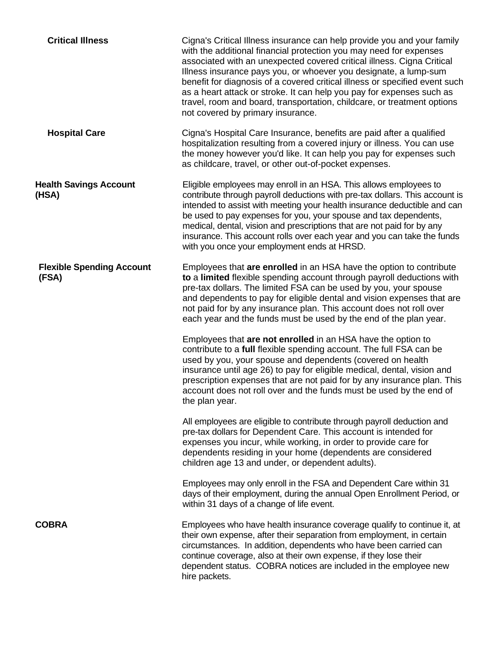| <b>Critical Illness</b>                   | Cigna's Critical Illness insurance can help provide you and your family<br>with the additional financial protection you may need for expenses<br>associated with an unexpected covered critical illness. Cigna Critical<br>Illness insurance pays you, or whoever you designate, a lump-sum<br>benefit for diagnosis of a covered critical illness or specified event such<br>as a heart attack or stroke. It can help you pay for expenses such as<br>travel, room and board, transportation, childcare, or treatment options<br>not covered by primary insurance. |
|-------------------------------------------|---------------------------------------------------------------------------------------------------------------------------------------------------------------------------------------------------------------------------------------------------------------------------------------------------------------------------------------------------------------------------------------------------------------------------------------------------------------------------------------------------------------------------------------------------------------------|
| <b>Hospital Care</b>                      | Cigna's Hospital Care Insurance, benefits are paid after a qualified<br>hospitalization resulting from a covered injury or illness. You can use<br>the money however you'd like. It can help you pay for expenses such<br>as childcare, travel, or other out-of-pocket expenses.                                                                                                                                                                                                                                                                                    |
| <b>Health Savings Account</b><br>(HSA)    | Eligible employees may enroll in an HSA. This allows employees to<br>contribute through payroll deductions with pre-tax dollars. This account is<br>intended to assist with meeting your health insurance deductible and can<br>be used to pay expenses for you, your spouse and tax dependents,<br>medical, dental, vision and prescriptions that are not paid for by any<br>insurance. This account rolls over each year and you can take the funds<br>with you once your employment ends at HRSD.                                                                |
| <b>Flexible Spending Account</b><br>(FSA) | Employees that are enrolled in an HSA have the option to contribute<br>to a limited flexible spending account through payroll deductions with<br>pre-tax dollars. The limited FSA can be used by you, your spouse<br>and dependents to pay for eligible dental and vision expenses that are<br>not paid for by any insurance plan. This account does not roll over<br>each year and the funds must be used by the end of the plan year.                                                                                                                             |
|                                           | Employees that are not enrolled in an HSA have the option to<br>contribute to a full flexible spending account. The full FSA can be<br>used by you, your spouse and dependents (covered on health<br>insurance until age 26) to pay for eligible medical, dental, vision and<br>prescription expenses that are not paid for by any insurance plan. This<br>account does not roll over and the funds must be used by the end of<br>the plan year.                                                                                                                    |
|                                           | All employees are eligible to contribute through payroll deduction and<br>pre-tax dollars for Dependent Care. This account is intended for<br>expenses you incur, while working, in order to provide care for<br>dependents residing in your home (dependents are considered<br>children age 13 and under, or dependent adults).                                                                                                                                                                                                                                    |
|                                           | Employees may only enroll in the FSA and Dependent Care within 31<br>days of their employment, during the annual Open Enrollment Period, or<br>within 31 days of a change of life event.                                                                                                                                                                                                                                                                                                                                                                            |
| <b>COBRA</b>                              | Employees who have health insurance coverage qualify to continue it, at<br>their own expense, after their separation from employment, in certain<br>circumstances. In addition, dependents who have been carried can<br>continue coverage, also at their own expense, if they lose their<br>dependent status. COBRA notices are included in the employee new<br>hire packets.                                                                                                                                                                                       |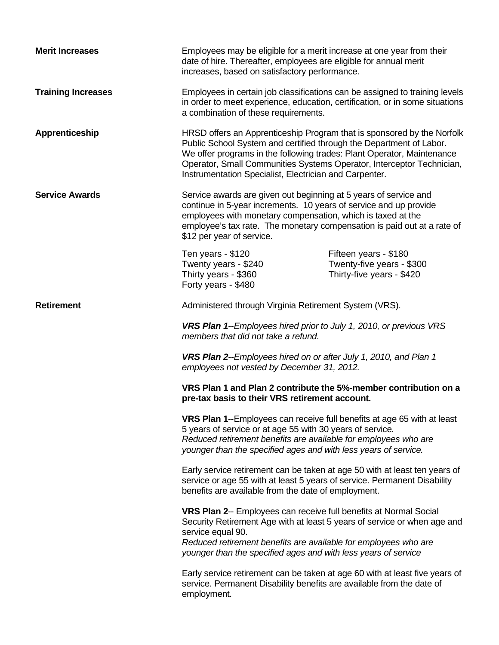| <b>Merit Increases</b>    | Employees may be eligible for a merit increase at one year from their<br>date of hire. Thereafter, employees are eligible for annual merit<br>increases, based on satisfactory performance.                                                                                                                                                                |                                                                                 |
|---------------------------|------------------------------------------------------------------------------------------------------------------------------------------------------------------------------------------------------------------------------------------------------------------------------------------------------------------------------------------------------------|---------------------------------------------------------------------------------|
| <b>Training Increases</b> | Employees in certain job classifications can be assigned to training levels<br>in order to meet experience, education, certification, or in some situations<br>a combination of these requirements.                                                                                                                                                        |                                                                                 |
| Apprenticeship            | HRSD offers an Apprenticeship Program that is sponsored by the Norfolk<br>Public School System and certified through the Department of Labor.<br>We offer programs in the following trades: Plant Operator, Maintenance<br>Operator, Small Communities Systems Operator, Interceptor Technician,<br>Instrumentation Specialist, Electrician and Carpenter. |                                                                                 |
| <b>Service Awards</b>     | Service awards are given out beginning at 5 years of service and<br>continue in 5-year increments. 10 years of service and up provide<br>employees with monetary compensation, which is taxed at the<br>employee's tax rate. The monetary compensation is paid out at a rate of<br>\$12 per year of service.                                               |                                                                                 |
|                           | Ten years - \$120<br>Twenty years - \$240<br>Thirty years - \$360<br>Forty years - \$480                                                                                                                                                                                                                                                                   | Fifteen years - \$180<br>Twenty-five years - \$300<br>Thirty-five years - \$420 |
| <b>Retirement</b>         | Administered through Virginia Retirement System (VRS).                                                                                                                                                                                                                                                                                                     |                                                                                 |
|                           | <b>VRS Plan 1--Employees hired prior to July 1, 2010, or previous VRS</b><br>members that did not take a refund.                                                                                                                                                                                                                                           |                                                                                 |
|                           | <b>VRS Plan 2--Employees hired on or after July 1, 2010, and Plan 1</b><br>employees not vested by December 31, 2012.                                                                                                                                                                                                                                      |                                                                                 |
|                           | VRS Plan 1 and Plan 2 contribute the 5%-member contribution on a<br>pre-tax basis to their VRS retirement account.                                                                                                                                                                                                                                         |                                                                                 |
|                           | <b>VRS Plan 1--Employees can receive full benefits at age 65 with at least</b><br>5 years of service or at age 55 with 30 years of service.<br>Reduced retirement benefits are available for employees who are<br>younger than the specified ages and with less years of service.                                                                          |                                                                                 |
|                           | Early service retirement can be taken at age 50 with at least ten years of<br>service or age 55 with at least 5 years of service. Permanent Disability<br>benefits are available from the date of employment.                                                                                                                                              |                                                                                 |
|                           | VRS Plan 2-- Employees can receive full benefits at Normal Social<br>Security Retirement Age with at least 5 years of service or when age and<br>service equal 90.<br>Reduced retirement benefits are available for employees who are<br>younger than the specified ages and with less years of service                                                    |                                                                                 |
|                           | Early service retirement can be taken at age 60 with at least five years of<br>service. Permanent Disability benefits are available from the date of<br>employment.                                                                                                                                                                                        |                                                                                 |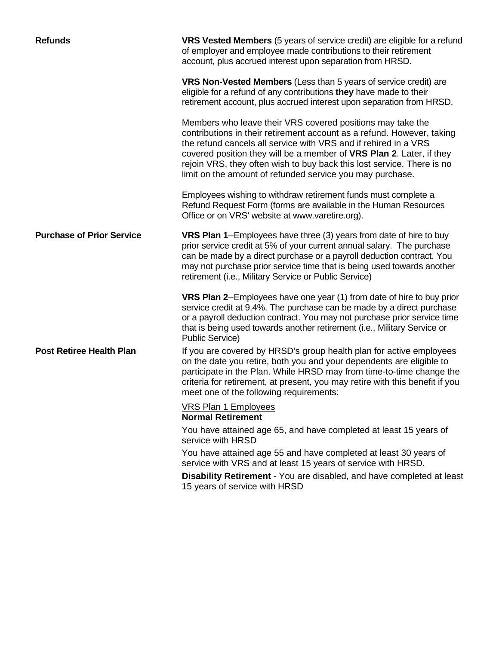| <b>Refunds</b>                   | VRS Vested Members (5 years of service credit) are eligible for a refund<br>of employer and employee made contributions to their retirement<br>account, plus accrued interest upon separation from HRSD.                                                                                                                                                                                                               |
|----------------------------------|------------------------------------------------------------------------------------------------------------------------------------------------------------------------------------------------------------------------------------------------------------------------------------------------------------------------------------------------------------------------------------------------------------------------|
|                                  | VRS Non-Vested Members (Less than 5 years of service credit) are<br>eligible for a refund of any contributions they have made to their<br>retirement account, plus accrued interest upon separation from HRSD.                                                                                                                                                                                                         |
|                                  | Members who leave their VRS covered positions may take the<br>contributions in their retirement account as a refund. However, taking<br>the refund cancels all service with VRS and if rehired in a VRS<br>covered position they will be a member of VRS Plan 2. Later, if they<br>rejoin VRS, they often wish to buy back this lost service. There is no<br>limit on the amount of refunded service you may purchase. |
|                                  | Employees wishing to withdraw retirement funds must complete a<br>Refund Request Form (forms are available in the Human Resources<br>Office or on VRS' website at www.varetire.org).                                                                                                                                                                                                                                   |
| <b>Purchase of Prior Service</b> | VRS Plan 1--Employees have three (3) years from date of hire to buy<br>prior service credit at 5% of your current annual salary. The purchase<br>can be made by a direct purchase or a payroll deduction contract. You<br>may not purchase prior service time that is being used towards another<br>retirement (i.e., Military Service or Public Service)                                                              |
|                                  | <b>VRS Plan 2--Employees have one year (1) from date of hire to buy prior</b><br>service credit at 9.4%. The purchase can be made by a direct purchase<br>or a payroll deduction contract. You may not purchase prior service time<br>that is being used towards another retirement (i.e., Military Service or<br><b>Public Service)</b>                                                                               |
| <b>Post Retiree Health Plan</b>  | If you are covered by HRSD's group health plan for active employees<br>on the date you retire, both you and your dependents are eligible to<br>participate in the Plan. While HRSD may from time-to-time change the<br>criteria for retirement, at present, you may retire with this benefit if you<br>meet one of the following requirements:                                                                         |
|                                  | <b>VRS Plan 1 Employees</b><br><b>Normal Retirement</b>                                                                                                                                                                                                                                                                                                                                                                |
|                                  | You have attained age 65, and have completed at least 15 years of<br>service with HRSD                                                                                                                                                                                                                                                                                                                                 |
|                                  | You have attained age 55 and have completed at least 30 years of<br>service with VRS and at least 15 years of service with HRSD.                                                                                                                                                                                                                                                                                       |
|                                  | Disability Retirement - You are disabled, and have completed at least<br>15 years of service with HRSD                                                                                                                                                                                                                                                                                                                 |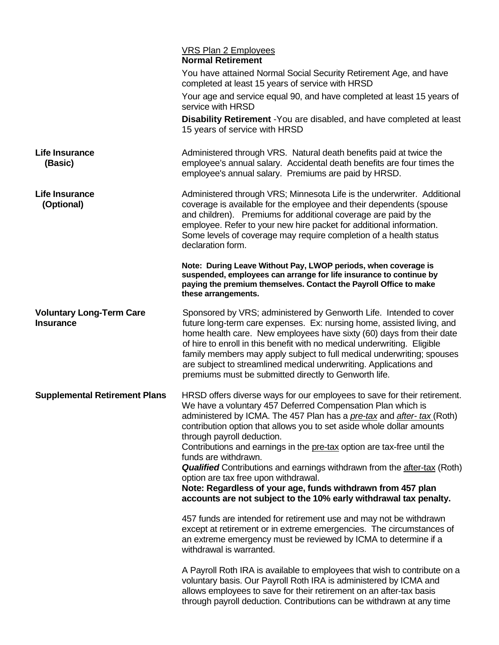|                                                     | VRS Plan 2 Employees<br><b>Normal Retirement</b>                                                                                                                                                                                                                                                                                                                                                                                                                                                                                                                                                                                                                                           |
|-----------------------------------------------------|--------------------------------------------------------------------------------------------------------------------------------------------------------------------------------------------------------------------------------------------------------------------------------------------------------------------------------------------------------------------------------------------------------------------------------------------------------------------------------------------------------------------------------------------------------------------------------------------------------------------------------------------------------------------------------------------|
|                                                     | You have attained Normal Social Security Retirement Age, and have<br>completed at least 15 years of service with HRSD                                                                                                                                                                                                                                                                                                                                                                                                                                                                                                                                                                      |
|                                                     | Your age and service equal 90, and have completed at least 15 years of<br>service with HRSD                                                                                                                                                                                                                                                                                                                                                                                                                                                                                                                                                                                                |
|                                                     | <b>Disability Retirement</b> - You are disabled, and have completed at least<br>15 years of service with HRSD                                                                                                                                                                                                                                                                                                                                                                                                                                                                                                                                                                              |
| <b>Life Insurance</b><br>(Basic)                    | Administered through VRS. Natural death benefits paid at twice the<br>employee's annual salary. Accidental death benefits are four times the<br>employee's annual salary. Premiums are paid by HRSD.                                                                                                                                                                                                                                                                                                                                                                                                                                                                                       |
| <b>Life Insurance</b><br>(Optional)                 | Administered through VRS; Minnesota Life is the underwriter. Additional<br>coverage is available for the employee and their dependents (spouse<br>and children). Premiums for additional coverage are paid by the<br>employee. Refer to your new hire packet for additional information.<br>Some levels of coverage may require completion of a health status<br>declaration form.                                                                                                                                                                                                                                                                                                         |
|                                                     | Note: During Leave Without Pay, LWOP periods, when coverage is<br>suspended, employees can arrange for life insurance to continue by<br>paying the premium themselves. Contact the Payroll Office to make<br>these arrangements.                                                                                                                                                                                                                                                                                                                                                                                                                                                           |
| <b>Voluntary Long-Term Care</b><br><b>Insurance</b> | Sponsored by VRS; administered by Genworth Life. Intended to cover<br>future long-term care expenses. Ex: nursing home, assisted living, and<br>home health care. New employees have sixty (60) days from their date<br>of hire to enroll in this benefit with no medical underwriting. Eligible<br>family members may apply subject to full medical underwriting; spouses<br>are subject to streamlined medical underwriting. Applications and<br>premiums must be submitted directly to Genworth life.                                                                                                                                                                                   |
| <b>Supplemental Retirement Plans</b>                | HRSD offers diverse ways for our employees to save for their retirement.<br>We have a voluntary 457 Deferred Compensation Plan which is<br>administered by ICMA. The 457 Plan has a pre-tax and after- tax (Roth)<br>contribution option that allows you to set aside whole dollar amounts<br>through payroll deduction.<br>Contributions and earnings in the pre-tax option are tax-free until the<br>funds are withdrawn.<br><b>Qualified</b> Contributions and earnings withdrawn from the after-tax (Roth)<br>option are tax free upon withdrawal.<br>Note: Regardless of your age, funds withdrawn from 457 plan<br>accounts are not subject to the 10% early withdrawal tax penalty. |
|                                                     | 457 funds are intended for retirement use and may not be withdrawn<br>except at retirement or in extreme emergencies. The circumstances of<br>an extreme emergency must be reviewed by ICMA to determine if a<br>withdrawal is warranted.                                                                                                                                                                                                                                                                                                                                                                                                                                                  |
|                                                     | A Payroll Roth IRA is available to employees that wish to contribute on a<br>voluntary basis. Our Payroll Roth IRA is administered by ICMA and<br>allows employees to save for their retirement on an after-tax basis<br>through payroll deduction. Contributions can be withdrawn at any time                                                                                                                                                                                                                                                                                                                                                                                             |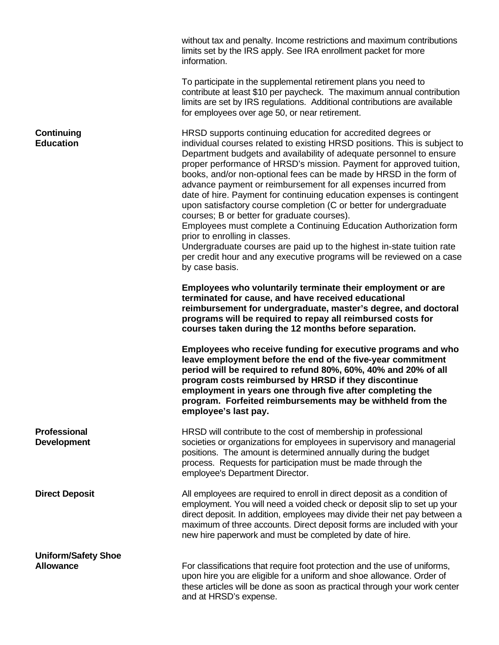|                                           | without tax and penalty. Income restrictions and maximum contributions<br>limits set by the IRS apply. See IRA enrollment packet for more<br>information.                                                                                                                                                                                                                                                                                                                                                                                                                                                                                                                                                                                                                                                                                                                                                  |
|-------------------------------------------|------------------------------------------------------------------------------------------------------------------------------------------------------------------------------------------------------------------------------------------------------------------------------------------------------------------------------------------------------------------------------------------------------------------------------------------------------------------------------------------------------------------------------------------------------------------------------------------------------------------------------------------------------------------------------------------------------------------------------------------------------------------------------------------------------------------------------------------------------------------------------------------------------------|
|                                           | To participate in the supplemental retirement plans you need to<br>contribute at least \$10 per paycheck. The maximum annual contribution<br>limits are set by IRS regulations. Additional contributions are available<br>for employees over age 50, or near retirement.                                                                                                                                                                                                                                                                                                                                                                                                                                                                                                                                                                                                                                   |
| <b>Continuing</b><br><b>Education</b>     | HRSD supports continuing education for accredited degrees or<br>individual courses related to existing HRSD positions. This is subject to<br>Department budgets and availability of adequate personnel to ensure<br>proper performance of HRSD's mission. Payment for approved tuition,<br>books, and/or non-optional fees can be made by HRSD in the form of<br>advance payment or reimbursement for all expenses incurred from<br>date of hire. Payment for continuing education expenses is contingent<br>upon satisfactory course completion (C or better for undergraduate<br>courses; B or better for graduate courses).<br>Employees must complete a Continuing Education Authorization form<br>prior to enrolling in classes.<br>Undergraduate courses are paid up to the highest in-state tuition rate<br>per credit hour and any executive programs will be reviewed on a case<br>by case basis. |
|                                           | Employees who voluntarily terminate their employment or are<br>terminated for cause, and have received educational<br>reimbursement for undergraduate, master's degree, and doctoral<br>programs will be required to repay all reimbursed costs for<br>courses taken during the 12 months before separation.                                                                                                                                                                                                                                                                                                                                                                                                                                                                                                                                                                                               |
|                                           | Employees who receive funding for executive programs and who<br>leave employment before the end of the five-year commitment<br>period will be required to refund 80%, 60%, 40% and 20% of all<br>program costs reimbursed by HRSD if they discontinue<br>employment in years one through five after completing the<br>program. Forfeited reimbursements may be withheld from the<br>employee's last pay.                                                                                                                                                                                                                                                                                                                                                                                                                                                                                                   |
| <b>Professional</b><br><b>Development</b> | HRSD will contribute to the cost of membership in professional<br>societies or organizations for employees in supervisory and managerial<br>positions. The amount is determined annually during the budget<br>process. Requests for participation must be made through the<br>employee's Department Director.                                                                                                                                                                                                                                                                                                                                                                                                                                                                                                                                                                                              |
| <b>Direct Deposit</b>                     | All employees are required to enroll in direct deposit as a condition of<br>employment. You will need a voided check or deposit slip to set up your<br>direct deposit. In addition, employees may divide their net pay between a<br>maximum of three accounts. Direct deposit forms are included with your<br>new hire paperwork and must be completed by date of hire.                                                                                                                                                                                                                                                                                                                                                                                                                                                                                                                                    |
| <b>Uniform/Safety Shoe</b>                |                                                                                                                                                                                                                                                                                                                                                                                                                                                                                                                                                                                                                                                                                                                                                                                                                                                                                                            |
| <b>Allowance</b>                          | For classifications that require foot protection and the use of uniforms,<br>upon hire you are eligible for a uniform and shoe allowance. Order of<br>these articles will be done as soon as practical through your work center<br>and at HRSD's expense.                                                                                                                                                                                                                                                                                                                                                                                                                                                                                                                                                                                                                                                  |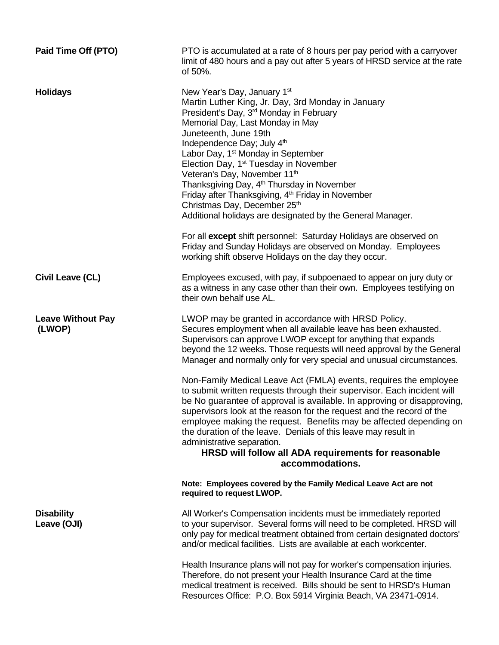| Paid Time Off (PTO)                | PTO is accumulated at a rate of 8 hours per pay period with a carryover<br>limit of 480 hours and a pay out after 5 years of HRSD service at the rate<br>of 50%.                                                                                                                                                                                                                                                                                                                                                                                                                                                                                                                                                                                                                                  |
|------------------------------------|---------------------------------------------------------------------------------------------------------------------------------------------------------------------------------------------------------------------------------------------------------------------------------------------------------------------------------------------------------------------------------------------------------------------------------------------------------------------------------------------------------------------------------------------------------------------------------------------------------------------------------------------------------------------------------------------------------------------------------------------------------------------------------------------------|
| <b>Holidays</b>                    | New Year's Day, January 1st<br>Martin Luther King, Jr. Day, 3rd Monday in January<br>President's Day, 3 <sup>rd</sup> Monday in February<br>Memorial Day, Last Monday in May<br>Juneteenth, June 19th<br>Independence Day; July 4th<br>Labor Day, 1 <sup>st</sup> Monday in September<br>Election Day, 1 <sup>st</sup> Tuesday in November<br>Veteran's Day, November 11th<br>Thanksgiving Day, 4 <sup>th</sup> Thursday in November<br>Friday after Thanksgiving, 4 <sup>th</sup> Friday in November<br>Christmas Day, December 25th<br>Additional holidays are designated by the General Manager.<br>For all except shift personnel: Saturday Holidays are observed on<br>Friday and Sunday Holidays are observed on Monday. Employees<br>working shift observe Holidays on the day they occur. |
| Civil Leave (CL)                   | Employees excused, with pay, if subpoenaed to appear on jury duty or<br>as a witness in any case other than their own. Employees testifying on<br>their own behalf use AL.                                                                                                                                                                                                                                                                                                                                                                                                                                                                                                                                                                                                                        |
| <b>Leave Without Pay</b><br>(LWOP) | LWOP may be granted in accordance with HRSD Policy.<br>Secures employment when all available leave has been exhausted.<br>Supervisors can approve LWOP except for anything that expands<br>beyond the 12 weeks. Those requests will need approval by the General<br>Manager and normally only for very special and unusual circumstances.                                                                                                                                                                                                                                                                                                                                                                                                                                                         |
|                                    | Non-Family Medical Leave Act (FMLA) events, requires the employee<br>to submit written requests through their supervisor. Each incident will<br>be No guarantee of approval is available. In approving or disapproving,<br>supervisors look at the reason for the request and the record of the<br>employee making the request. Benefits may be affected depending on<br>the duration of the leave. Denials of this leave may result in<br>administrative separation.<br>HRSD will follow all ADA requirements for reasonable<br>accommodations.                                                                                                                                                                                                                                                  |
|                                    | Note: Employees covered by the Family Medical Leave Act are not<br>required to request LWOP.                                                                                                                                                                                                                                                                                                                                                                                                                                                                                                                                                                                                                                                                                                      |
| <b>Disability</b><br>Leave (OJI)   | All Worker's Compensation incidents must be immediately reported<br>to your supervisor. Several forms will need to be completed. HRSD will<br>only pay for medical treatment obtained from certain designated doctors'<br>and/or medical facilities. Lists are available at each workcenter.                                                                                                                                                                                                                                                                                                                                                                                                                                                                                                      |
|                                    | Health Insurance plans will not pay for worker's compensation injuries.<br>Therefore, do not present your Health Insurance Card at the time<br>medical treatment is received. Bills should be sent to HRSD's Human<br>Resources Office: P.O. Box 5914 Virginia Beach, VA 23471-0914.                                                                                                                                                                                                                                                                                                                                                                                                                                                                                                              |